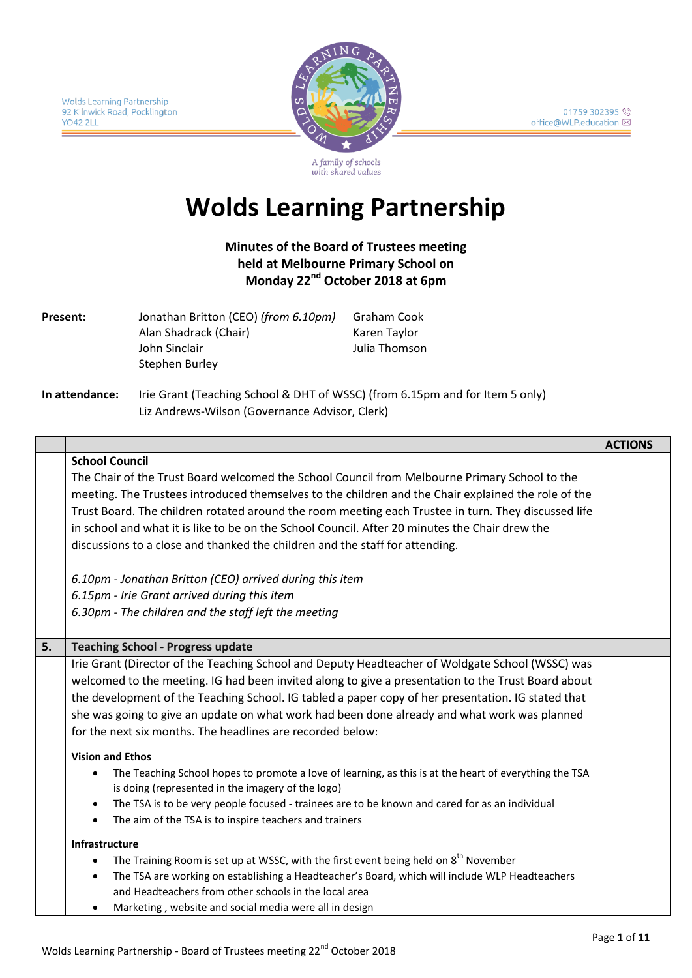

A family of schools with shared values

# **Wolds Learning Partnership**

**Minutes of the Board of Trustees meeting held at Melbourne Primary School on Monday 22nd October 2018 at 6pm**

| Present: | Jonathan Britton (CEO) (from 6.10pm) | Graham Cook   |
|----------|--------------------------------------|---------------|
|          | Alan Shadrack (Chair)                | Karen Taylor  |
|          | John Sinclair                        | Julia Thomson |
|          | Stephen Burley                       |               |
|          |                                      |               |

**In attendance:** Irie Grant (Teaching School & DHT of WSSC) (from 6.15pm and for Item 5 only) Liz Andrews-Wilson (Governance Advisor, Clerk)

|    |                                                                                                        | <b>ACTIONS</b> |
|----|--------------------------------------------------------------------------------------------------------|----------------|
|    | <b>School Council</b>                                                                                  |                |
|    | The Chair of the Trust Board welcomed the School Council from Melbourne Primary School to the          |                |
|    | meeting. The Trustees introduced themselves to the children and the Chair explained the role of the    |                |
|    | Trust Board. The children rotated around the room meeting each Trustee in turn. They discussed life    |                |
|    | in school and what it is like to be on the School Council. After 20 minutes the Chair drew the         |                |
|    | discussions to a close and thanked the children and the staff for attending.                           |                |
|    | 6.10pm - Jonathan Britton (CEO) arrived during this item                                               |                |
|    | 6.15pm - Irie Grant arrived during this item                                                           |                |
|    | 6.30pm - The children and the staff left the meeting                                                   |                |
|    |                                                                                                        |                |
| 5. | <b>Teaching School - Progress update</b>                                                               |                |
|    | Irie Grant (Director of the Teaching School and Deputy Headteacher of Woldgate School (WSSC) was       |                |
|    | welcomed to the meeting. IG had been invited along to give a presentation to the Trust Board about     |                |
|    | the development of the Teaching School. IG tabled a paper copy of her presentation. IG stated that     |                |
|    | she was going to give an update on what work had been done already and what work was planned           |                |
|    | for the next six months. The headlines are recorded below:                                             |                |
|    | <b>Vision and Ethos</b>                                                                                |                |
|    | The Teaching School hopes to promote a love of learning, as this is at the heart of everything the TSA |                |
|    | is doing (represented in the imagery of the logo)                                                      |                |
|    | The TSA is to be very people focused - trainees are to be known and cared for as an individual         |                |
|    | The aim of the TSA is to inspire teachers and trainers<br>$\bullet$                                    |                |
|    | <b>Infrastructure</b>                                                                                  |                |
|    | The Training Room is set up at WSSC, with the first event being held on 8 <sup>th</sup> November       |                |
|    | The TSA are working on establishing a Headteacher's Board, which will include WLP Headteachers         |                |
|    | and Headteachers from other schools in the local area                                                  |                |
|    | Marketing, website and social media were all in design                                                 |                |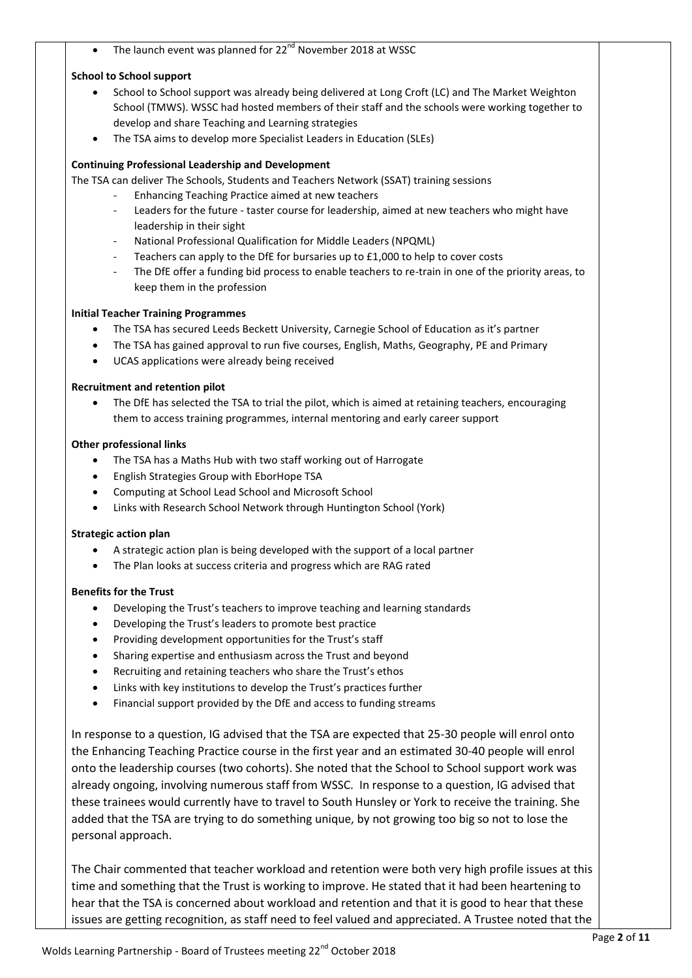The launch event was planned for 22<sup>nd</sup> November 2018 at WSSC

#### **School to School support**

- School to School support was already being delivered at Long Croft (LC) and The Market Weighton School (TMWS). WSSC had hosted members of their staff and the schools were working together to develop and share Teaching and Learning strategies
- The TSA aims to develop more Specialist Leaders in Education (SLEs)

#### **Continuing Professional Leadership and Development**

The TSA can deliver The Schools, Students and Teachers Network (SSAT) training sessions

- Enhancing Teaching Practice aimed at new teachers
	- Leaders for the future taster course for leadership, aimed at new teachers who might have leadership in their sight
	- National Professional Qualification for Middle Leaders (NPQML)
	- Teachers can apply to the DfE for bursaries up to £1,000 to help to cover costs
	- The DfE offer a funding bid process to enable teachers to re-train in one of the priority areas, to keep them in the profession

#### **Initial Teacher Training Programmes**

- The TSA has secured Leeds Beckett University, Carnegie School of Education as it's partner
- The TSA has gained approval to run five courses, English, Maths, Geography, PE and Primary
- UCAS applications were already being received

#### **Recruitment and retention pilot**

 The DfE has selected the TSA to trial the pilot, which is aimed at retaining teachers, encouraging them to access training programmes, internal mentoring and early career support

#### **Other professional links**

- The TSA has a Maths Hub with two staff working out of Harrogate
- English Strategies Group with EborHope TSA
- Computing at School Lead School and Microsoft School
- Links with Research School Network through Huntington School (York)

#### **Strategic action plan**

- A strategic action plan is being developed with the support of a local partner
- The Plan looks at success criteria and progress which are RAG rated

#### **Benefits for the Trust**

- Developing the Trust's teachers to improve teaching and learning standards
- Developing the Trust's leaders to promote best practice
- Providing development opportunities for the Trust's staff
- Sharing expertise and enthusiasm across the Trust and beyond
- Recruiting and retaining teachers who share the Trust's ethos
- Links with key institutions to develop the Trust's practices further
- Financial support provided by the DfE and access to funding streams

In response to a question, IG advised that the TSA are expected that 25-30 people will enrol onto the Enhancing Teaching Practice course in the first year and an estimated 30-40 people will enrol onto the leadership courses (two cohorts). She noted that the School to School support work was already ongoing, involving numerous staff from WSSC. In response to a question, IG advised that these trainees would currently have to travel to South Hunsley or York to receive the training. She added that the TSA are trying to do something unique, by not growing too big so not to lose the personal approach.

The Chair commented that teacher workload and retention were both very high profile issues at this time and something that the Trust is working to improve. He stated that it had been heartening to hear that the TSA is concerned about workload and retention and that it is good to hear that these issues are getting recognition, as staff need to feel valued and appreciated. A Trustee noted that the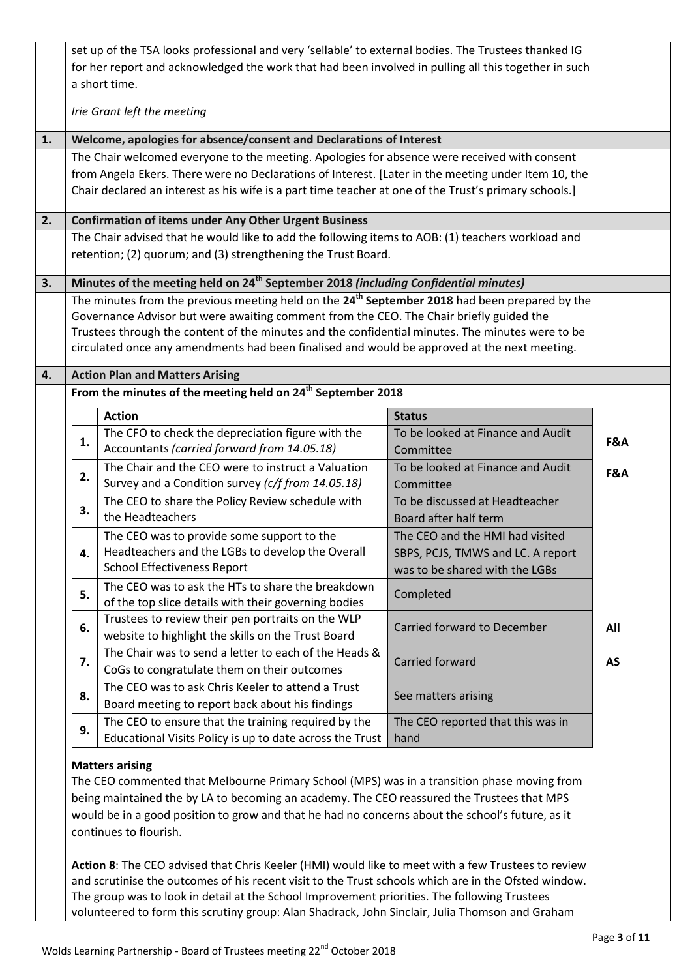| The Chair welcomed everyone to the meeting. Apologies for absence were received with consent<br>from Angela Ekers. There were no Declarations of Interest. [Later in the meeting under Item 10, the<br>Chair declared an interest as his wife is a part time teacher at one of the Trust's primary schools.]<br><b>Confirmation of items under Any Other Urgent Business</b><br>The Chair advised that he would like to add the following items to AOB: (1) teachers workload and<br>retention; (2) quorum; and (3) strengthening the Trust Board.<br>Minutes of the meeting held on 24 <sup>th</sup> September 2018 (including Confidential minutes)<br>The minutes from the previous meeting held on the 24 <sup>th</sup> September 2018 had been prepared by the<br>Governance Advisor but were awaiting comment from the CEO. The Chair briefly guided the |                                                                                                                                                                                                                                                                                                                                                                                                                                                           |                                                                                                                                                                                                                   |
|----------------------------------------------------------------------------------------------------------------------------------------------------------------------------------------------------------------------------------------------------------------------------------------------------------------------------------------------------------------------------------------------------------------------------------------------------------------------------------------------------------------------------------------------------------------------------------------------------------------------------------------------------------------------------------------------------------------------------------------------------------------------------------------------------------------------------------------------------------------|-----------------------------------------------------------------------------------------------------------------------------------------------------------------------------------------------------------------------------------------------------------------------------------------------------------------------------------------------------------------------------------------------------------------------------------------------------------|-------------------------------------------------------------------------------------------------------------------------------------------------------------------------------------------------------------------|
|                                                                                                                                                                                                                                                                                                                                                                                                                                                                                                                                                                                                                                                                                                                                                                                                                                                                |                                                                                                                                                                                                                                                                                                                                                                                                                                                           |                                                                                                                                                                                                                   |
|                                                                                                                                                                                                                                                                                                                                                                                                                                                                                                                                                                                                                                                                                                                                                                                                                                                                |                                                                                                                                                                                                                                                                                                                                                                                                                                                           |                                                                                                                                                                                                                   |
|                                                                                                                                                                                                                                                                                                                                                                                                                                                                                                                                                                                                                                                                                                                                                                                                                                                                |                                                                                                                                                                                                                                                                                                                                                                                                                                                           |                                                                                                                                                                                                                   |
|                                                                                                                                                                                                                                                                                                                                                                                                                                                                                                                                                                                                                                                                                                                                                                                                                                                                |                                                                                                                                                                                                                                                                                                                                                                                                                                                           |                                                                                                                                                                                                                   |
|                                                                                                                                                                                                                                                                                                                                                                                                                                                                                                                                                                                                                                                                                                                                                                                                                                                                |                                                                                                                                                                                                                                                                                                                                                                                                                                                           |                                                                                                                                                                                                                   |
|                                                                                                                                                                                                                                                                                                                                                                                                                                                                                                                                                                                                                                                                                                                                                                                                                                                                |                                                                                                                                                                                                                                                                                                                                                                                                                                                           |                                                                                                                                                                                                                   |
|                                                                                                                                                                                                                                                                                                                                                                                                                                                                                                                                                                                                                                                                                                                                                                                                                                                                |                                                                                                                                                                                                                                                                                                                                                                                                                                                           |                                                                                                                                                                                                                   |
|                                                                                                                                                                                                                                                                                                                                                                                                                                                                                                                                                                                                                                                                                                                                                                                                                                                                |                                                                                                                                                                                                                                                                                                                                                                                                                                                           |                                                                                                                                                                                                                   |
| Trustees through the content of the minutes and the confidential minutes. The minutes were to be<br>circulated once any amendments had been finalised and would be approved at the next meeting.                                                                                                                                                                                                                                                                                                                                                                                                                                                                                                                                                                                                                                                               |                                                                                                                                                                                                                                                                                                                                                                                                                                                           |                                                                                                                                                                                                                   |
|                                                                                                                                                                                                                                                                                                                                                                                                                                                                                                                                                                                                                                                                                                                                                                                                                                                                |                                                                                                                                                                                                                                                                                                                                                                                                                                                           |                                                                                                                                                                                                                   |
|                                                                                                                                                                                                                                                                                                                                                                                                                                                                                                                                                                                                                                                                                                                                                                                                                                                                |                                                                                                                                                                                                                                                                                                                                                                                                                                                           |                                                                                                                                                                                                                   |
|                                                                                                                                                                                                                                                                                                                                                                                                                                                                                                                                                                                                                                                                                                                                                                                                                                                                |                                                                                                                                                                                                                                                                                                                                                                                                                                                           |                                                                                                                                                                                                                   |
|                                                                                                                                                                                                                                                                                                                                                                                                                                                                                                                                                                                                                                                                                                                                                                                                                                                                |                                                                                                                                                                                                                                                                                                                                                                                                                                                           |                                                                                                                                                                                                                   |
| Accountants (carried forward from 14.05.18)                                                                                                                                                                                                                                                                                                                                                                                                                                                                                                                                                                                                                                                                                                                                                                                                                    | Committee                                                                                                                                                                                                                                                                                                                                                                                                                                                 | F&A                                                                                                                                                                                                               |
| Survey and a Condition survey (c/f from 14.05.18)                                                                                                                                                                                                                                                                                                                                                                                                                                                                                                                                                                                                                                                                                                                                                                                                              | To be looked at Finance and Audit<br>Committee                                                                                                                                                                                                                                                                                                                                                                                                            | F&A                                                                                                                                                                                                               |
| The CEO to share the Policy Review schedule with<br>the Headteachers                                                                                                                                                                                                                                                                                                                                                                                                                                                                                                                                                                                                                                                                                                                                                                                           | To be discussed at Headteacher<br>Board after half term                                                                                                                                                                                                                                                                                                                                                                                                   |                                                                                                                                                                                                                   |
| The CEO was to provide some support to the                                                                                                                                                                                                                                                                                                                                                                                                                                                                                                                                                                                                                                                                                                                                                                                                                     | The CEO and the HMI had visited                                                                                                                                                                                                                                                                                                                                                                                                                           |                                                                                                                                                                                                                   |
|                                                                                                                                                                                                                                                                                                                                                                                                                                                                                                                                                                                                                                                                                                                                                                                                                                                                |                                                                                                                                                                                                                                                                                                                                                                                                                                                           |                                                                                                                                                                                                                   |
|                                                                                                                                                                                                                                                                                                                                                                                                                                                                                                                                                                                                                                                                                                                                                                                                                                                                |                                                                                                                                                                                                                                                                                                                                                                                                                                                           |                                                                                                                                                                                                                   |
| of the top slice details with their governing bodies                                                                                                                                                                                                                                                                                                                                                                                                                                                                                                                                                                                                                                                                                                                                                                                                           |                                                                                                                                                                                                                                                                                                                                                                                                                                                           |                                                                                                                                                                                                                   |
| Trustees to review their pen portraits on the WLP<br>website to highlight the skills on the Trust Board                                                                                                                                                                                                                                                                                                                                                                                                                                                                                                                                                                                                                                                                                                                                                        | Carried forward to December                                                                                                                                                                                                                                                                                                                                                                                                                               | All                                                                                                                                                                                                               |
| CoGs to congratulate them on their outcomes                                                                                                                                                                                                                                                                                                                                                                                                                                                                                                                                                                                                                                                                                                                                                                                                                    | Carried forward                                                                                                                                                                                                                                                                                                                                                                                                                                           | <b>AS</b>                                                                                                                                                                                                         |
| Board meeting to report back about his findings                                                                                                                                                                                                                                                                                                                                                                                                                                                                                                                                                                                                                                                                                                                                                                                                                | See matters arising                                                                                                                                                                                                                                                                                                                                                                                                                                       |                                                                                                                                                                                                                   |
| The CEO to ensure that the training required by the                                                                                                                                                                                                                                                                                                                                                                                                                                                                                                                                                                                                                                                                                                                                                                                                            | The CEO reported that this was in                                                                                                                                                                                                                                                                                                                                                                                                                         |                                                                                                                                                                                                                   |
| Educational Visits Policy is up to date across the Trust                                                                                                                                                                                                                                                                                                                                                                                                                                                                                                                                                                                                                                                                                                                                                                                                       | hand                                                                                                                                                                                                                                                                                                                                                                                                                                                      |                                                                                                                                                                                                                   |
|                                                                                                                                                                                                                                                                                                                                                                                                                                                                                                                                                                                                                                                                                                                                                                                                                                                                | <b>Action Plan and Matters Arising</b><br><b>Action</b><br>The CFO to check the depreciation figure with the<br>The Chair and the CEO were to instruct a Valuation<br>Headteachers and the LGBs to develop the Overall<br><b>School Effectiveness Report</b><br>The CEO was to ask the HTs to share the breakdown<br>The Chair was to send a letter to each of the Heads &<br>The CEO was to ask Chris Keeler to attend a Trust<br><b>Matters arising</b> | From the minutes of the meeting held on $24^{\text{th}}$ September 2018<br><b>Status</b><br>To be looked at Finance and Audit<br>SBPS, PCJS, TMWS and LC. A report<br>was to be shared with the LGBs<br>Completed |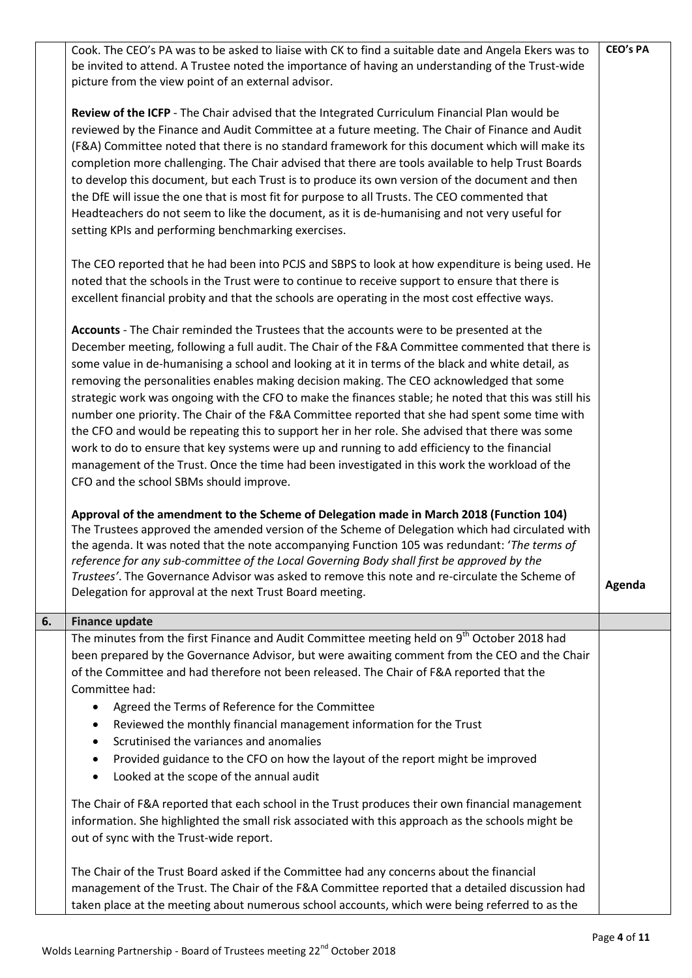|    | Cook. The CEO's PA was to be asked to liaise with CK to find a suitable date and Angela Ekers was to<br>be invited to attend. A Trustee noted the importance of having an understanding of the Trust-wide<br>picture from the view point of an external advisor.                                                                                                                                                                                                                                                                                                                                                                                                                                                                                                                                                                                                                                                                                         | <b>CEO's PA</b> |
|----|----------------------------------------------------------------------------------------------------------------------------------------------------------------------------------------------------------------------------------------------------------------------------------------------------------------------------------------------------------------------------------------------------------------------------------------------------------------------------------------------------------------------------------------------------------------------------------------------------------------------------------------------------------------------------------------------------------------------------------------------------------------------------------------------------------------------------------------------------------------------------------------------------------------------------------------------------------|-----------------|
|    | Review of the ICFP - The Chair advised that the Integrated Curriculum Financial Plan would be<br>reviewed by the Finance and Audit Committee at a future meeting. The Chair of Finance and Audit<br>(F&A) Committee noted that there is no standard framework for this document which will make its<br>completion more challenging. The Chair advised that there are tools available to help Trust Boards<br>to develop this document, but each Trust is to produce its own version of the document and then<br>the DfE will issue the one that is most fit for purpose to all Trusts. The CEO commented that<br>Headteachers do not seem to like the document, as it is de-humanising and not very useful for<br>setting KPIs and performing benchmarking exercises.                                                                                                                                                                                    |                 |
|    | The CEO reported that he had been into PCJS and SBPS to look at how expenditure is being used. He<br>noted that the schools in the Trust were to continue to receive support to ensure that there is<br>excellent financial probity and that the schools are operating in the most cost effective ways.                                                                                                                                                                                                                                                                                                                                                                                                                                                                                                                                                                                                                                                  |                 |
|    | Accounts - The Chair reminded the Trustees that the accounts were to be presented at the<br>December meeting, following a full audit. The Chair of the F&A Committee commented that there is<br>some value in de-humanising a school and looking at it in terms of the black and white detail, as<br>removing the personalities enables making decision making. The CEO acknowledged that some<br>strategic work was ongoing with the CFO to make the finances stable; he noted that this was still his<br>number one priority. The Chair of the F&A Committee reported that she had spent some time with<br>the CFO and would be repeating this to support her in her role. She advised that there was some<br>work to do to ensure that key systems were up and running to add efficiency to the financial<br>management of the Trust. Once the time had been investigated in this work the workload of the<br>CFO and the school SBMs should improve. |                 |
|    | Approval of the amendment to the Scheme of Delegation made in March 2018 (Function 104)<br>The Trustees approved the amended version of the Scheme of Delegation which had circulated with<br>the agenda. It was noted that the note accompanying Function 105 was redundant: 'The terms of<br>reference for any sub-committee of the Local Governing Body shall first be approved by the<br>Trustees'. The Governance Advisor was asked to remove this note and re-circulate the Scheme of<br>Delegation for approval at the next Trust Board meeting.                                                                                                                                                                                                                                                                                                                                                                                                  | Agenda          |
| 6. | <b>Finance update</b>                                                                                                                                                                                                                                                                                                                                                                                                                                                                                                                                                                                                                                                                                                                                                                                                                                                                                                                                    |                 |
|    | The minutes from the first Finance and Audit Committee meeting held on 9 <sup>th</sup> October 2018 had<br>been prepared by the Governance Advisor, but were awaiting comment from the CEO and the Chair<br>of the Committee and had therefore not been released. The Chair of F&A reported that the<br>Committee had:<br>Agreed the Terms of Reference for the Committee<br>Reviewed the monthly financial management information for the Trust<br>٠<br>Scrutinised the variances and anomalies<br>$\bullet$<br>Provided guidance to the CFO on how the layout of the report might be improved<br>$\bullet$<br>Looked at the scope of the annual audit<br>٠                                                                                                                                                                                                                                                                                             |                 |
|    | The Chair of F&A reported that each school in the Trust produces their own financial management<br>information. She highlighted the small risk associated with this approach as the schools might be<br>out of sync with the Trust-wide report.                                                                                                                                                                                                                                                                                                                                                                                                                                                                                                                                                                                                                                                                                                          |                 |
|    | The Chair of the Trust Board asked if the Committee had any concerns about the financial<br>management of the Trust. The Chair of the F&A Committee reported that a detailed discussion had<br>taken place at the meeting about numerous school accounts, which were being referred to as the                                                                                                                                                                                                                                                                                                                                                                                                                                                                                                                                                                                                                                                            |                 |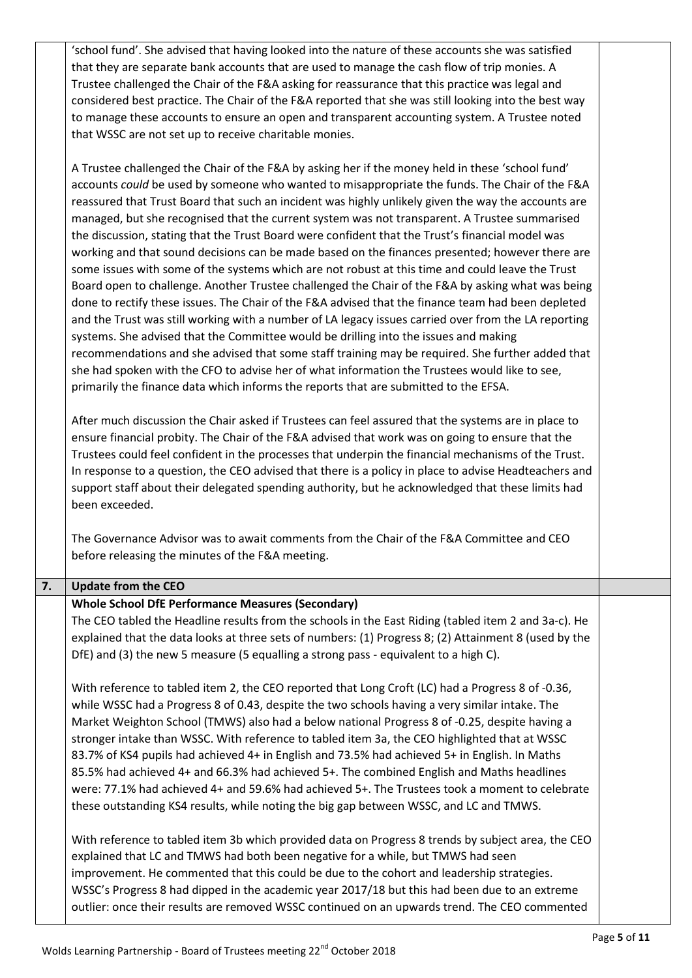| 'school fund'. She advised that having looked into the nature of these accounts she was satisfied    |
|------------------------------------------------------------------------------------------------------|
| that they are separate bank accounts that are used to manage the cash flow of trip monies. A         |
| Trustee challenged the Chair of the F&A asking for reassurance that this practice was legal and      |
| considered best practice. The Chair of the F&A reported that she was still looking into the best way |
| to manage these accounts to ensure an open and transparent accounting system. A Trustee noted        |
| that WSSC are not set up to receive charitable monies.                                               |

A Trustee challenged the Chair of the F&A by asking her if the money held in these 'school fund' accounts *could* be used by someone who wanted to misappropriate the funds. The Chair of the F&A reassured that Trust Board that such an incident was highly unlikely given the way the accounts are managed, but she recognised that the current system was not transparent. A Trustee summarised the discussion, stating that the Trust Board were confident that the Trust's financial model was working and that sound decisions can be made based on the finances presented; however there are some issues with some of the systems which are not robust at this time and could leave the Trust Board open to challenge. Another Trustee challenged the Chair of the F&A by asking what was being done to rectify these issues. The Chair of the F&A advised that the finance team had been depleted and the Trust was still working with a number of LA legacy issues carried over from the LA reporting systems. She advised that the Committee would be drilling into the issues and making recommendations and she advised that some staff training may be required. She further added that she had spoken with the CFO to advise her of what information the Trustees would like to see, primarily the finance data which informs the reports that are submitted to the EFSA.

After much discussion the Chair asked if Trustees can feel assured that the systems are in place to ensure financial probity. The Chair of the F&A advised that work was on going to ensure that the Trustees could feel confident in the processes that underpin the financial mechanisms of the Trust. In response to a question, the CEO advised that there is a policy in place to advise Headteachers and support staff about their delegated spending authority, but he acknowledged that these limits had been exceeded.

The Governance Advisor was to await comments from the Chair of the F&A Committee and CEO before releasing the minutes of the F&A meeting.

## **7. Update from the CEO 4.**

## **Whole School DfE Performance Measures (Secondary)**

The CEO tabled the Headline results from the schools in the East Riding (tabled item 2 and 3a-c). He explained that the data looks at three sets of numbers: (1) Progress 8; (2) Attainment 8 (used by the DfE) and (3) the new 5 measure (5 equalling a strong pass - equivalent to a high C).

With reference to tabled item 2, the CEO reported that Long Croft (LC) had a Progress 8 of -0.36, while WSSC had a Progress 8 of 0.43, despite the two schools having a very similar intake. The Market Weighton School (TMWS) also had a below national Progress 8 of -0.25, despite having a stronger intake than WSSC. With reference to tabled item 3a, the CEO highlighted that at WSSC 83.7% of KS4 pupils had achieved 4+ in English and 73.5% had achieved 5+ in English. In Maths 85.5% had achieved 4+ and 66.3% had achieved 5+. The combined English and Maths headlines were: 77.1% had achieved 4+ and 59.6% had achieved 5+. The Trustees took a moment to celebrate these outstanding KS4 results, while noting the big gap between WSSC, and LC and TMWS.

With reference to tabled item 3b which provided data on Progress 8 trends by subject area, the CEO explained that LC and TMWS had both been negative for a while, but TMWS had seen improvement. He commented that this could be due to the cohort and leadership strategies. WSSC's Progress 8 had dipped in the academic year 2017/18 but this had been due to an extreme outlier: once their results are removed WSSC continued on an upwards trend. The CEO commented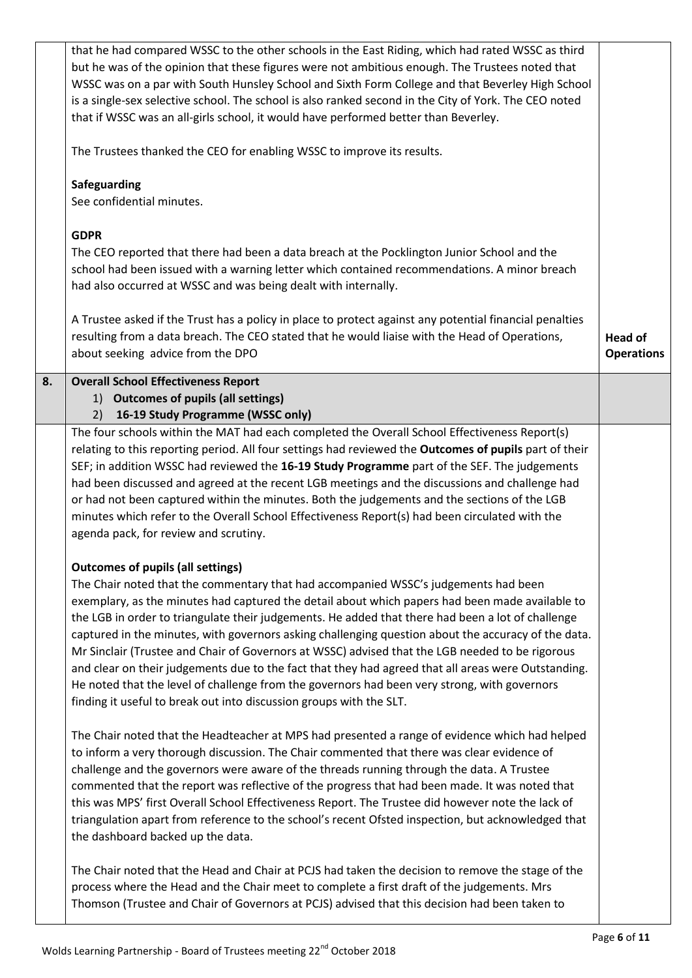|    | that he had compared WSSC to the other schools in the East Riding, which had rated WSSC as third        |                   |
|----|---------------------------------------------------------------------------------------------------------|-------------------|
|    | but he was of the opinion that these figures were not ambitious enough. The Trustees noted that         |                   |
|    | WSSC was on a par with South Hunsley School and Sixth Form College and that Beverley High School        |                   |
|    | is a single-sex selective school. The school is also ranked second in the City of York. The CEO noted   |                   |
|    |                                                                                                         |                   |
|    | that if WSSC was an all-girls school, it would have performed better than Beverley.                     |                   |
|    | The Trustees thanked the CEO for enabling WSSC to improve its results.                                  |                   |
|    |                                                                                                         |                   |
|    | Safeguarding                                                                                            |                   |
|    | See confidential minutes.                                                                               |                   |
|    |                                                                                                         |                   |
|    | <b>GDPR</b>                                                                                             |                   |
|    | The CEO reported that there had been a data breach at the Pocklington Junior School and the             |                   |
|    | school had been issued with a warning letter which contained recommendations. A minor breach            |                   |
|    | had also occurred at WSSC and was being dealt with internally.                                          |                   |
|    |                                                                                                         |                   |
|    | A Trustee asked if the Trust has a policy in place to protect against any potential financial penalties |                   |
|    | resulting from a data breach. The CEO stated that he would liaise with the Head of Operations,          | <b>Head of</b>    |
|    | about seeking advice from the DPO                                                                       | <b>Operations</b> |
|    |                                                                                                         |                   |
| 8. | <b>Overall School Effectiveness Report</b>                                                              |                   |
|    | 1) Outcomes of pupils (all settings)                                                                    |                   |
|    | 16-19 Study Programme (WSSC only)<br>2)                                                                 |                   |
|    | The four schools within the MAT had each completed the Overall School Effectiveness Report(s)           |                   |
|    | relating to this reporting period. All four settings had reviewed the Outcomes of pupils part of their  |                   |
|    | SEF; in addition WSSC had reviewed the 16-19 Study Programme part of the SEF. The judgements            |                   |
|    | had been discussed and agreed at the recent LGB meetings and the discussions and challenge had          |                   |
|    | or had not been captured within the minutes. Both the judgements and the sections of the LGB            |                   |
|    |                                                                                                         |                   |
|    | minutes which refer to the Overall School Effectiveness Report(s) had been circulated with the          |                   |
|    | agenda pack, for review and scrutiny.                                                                   |                   |
|    | <b>Outcomes of pupils (all settings)</b>                                                                |                   |
|    | The Chair noted that the commentary that had accompanied WSSC's judgements had been                     |                   |
|    |                                                                                                         |                   |
|    | exemplary, as the minutes had captured the detail about which papers had been made available to         |                   |
|    | the LGB in order to triangulate their judgements. He added that there had been a lot of challenge       |                   |
|    | captured in the minutes, with governors asking challenging question about the accuracy of the data.     |                   |
|    | Mr Sinclair (Trustee and Chair of Governors at WSSC) advised that the LGB needed to be rigorous         |                   |
|    | and clear on their judgements due to the fact that they had agreed that all areas were Outstanding.     |                   |
|    | He noted that the level of challenge from the governors had been very strong, with governors            |                   |
|    | finding it useful to break out into discussion groups with the SLT.                                     |                   |
|    |                                                                                                         |                   |
|    | The Chair noted that the Headteacher at MPS had presented a range of evidence which had helped          |                   |
|    | to inform a very thorough discussion. The Chair commented that there was clear evidence of              |                   |
|    | challenge and the governors were aware of the threads running through the data. A Trustee               |                   |
|    | commented that the report was reflective of the progress that had been made. It was noted that          |                   |
|    |                                                                                                         |                   |
|    | this was MPS' first Overall School Effectiveness Report. The Trustee did however note the lack of       |                   |
|    | triangulation apart from reference to the school's recent Ofsted inspection, but acknowledged that      |                   |
|    | the dashboard backed up the data.                                                                       |                   |
|    |                                                                                                         |                   |
|    | The Chair noted that the Head and Chair at PCJS had taken the decision to remove the stage of the       |                   |
|    | process where the Head and the Chair meet to complete a first draft of the judgements. Mrs              |                   |
|    | Thomson (Trustee and Chair of Governors at PCJS) advised that this decision had been taken to           |                   |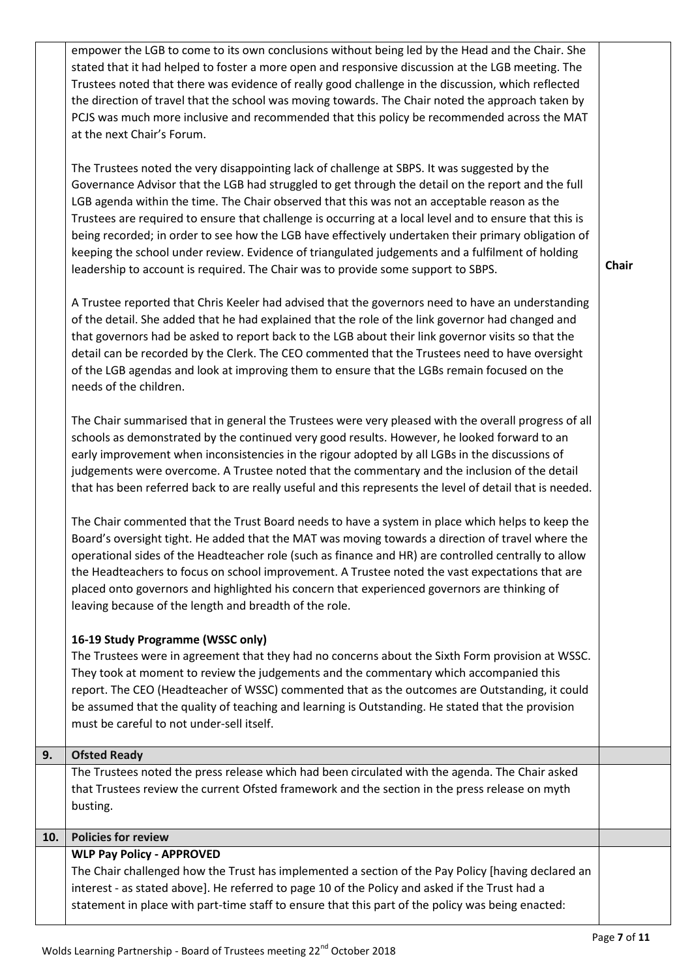|     | empower the LGB to come to its own conclusions without being led by the Head and the Chair. She          |              |
|-----|----------------------------------------------------------------------------------------------------------|--------------|
|     | stated that it had helped to foster a more open and responsive discussion at the LGB meeting. The        |              |
|     |                                                                                                          |              |
|     | Trustees noted that there was evidence of really good challenge in the discussion, which reflected       |              |
|     | the direction of travel that the school was moving towards. The Chair noted the approach taken by        |              |
|     | PCJS was much more inclusive and recommended that this policy be recommended across the MAT              |              |
|     | at the next Chair's Forum.                                                                               |              |
|     | The Trustees noted the very disappointing lack of challenge at SBPS. It was suggested by the             |              |
|     | Governance Advisor that the LGB had struggled to get through the detail on the report and the full       |              |
|     | LGB agenda within the time. The Chair observed that this was not an acceptable reason as the             |              |
|     | Trustees are required to ensure that challenge is occurring at a local level and to ensure that this is  |              |
|     | being recorded; in order to see how the LGB have effectively undertaken their primary obligation of      |              |
|     |                                                                                                          |              |
|     | keeping the school under review. Evidence of triangulated judgements and a fulfilment of holding         | <b>Chair</b> |
|     | leadership to account is required. The Chair was to provide some support to SBPS.                        |              |
|     | A Trustee reported that Chris Keeler had advised that the governors need to have an understanding        |              |
|     | of the detail. She added that he had explained that the role of the link governor had changed and        |              |
|     | that governors had be asked to report back to the LGB about their link governor visits so that the       |              |
|     | detail can be recorded by the Clerk. The CEO commented that the Trustees need to have oversight          |              |
|     | of the LGB agendas and look at improving them to ensure that the LGBs remain focused on the              |              |
|     | needs of the children.                                                                                   |              |
|     |                                                                                                          |              |
|     | The Chair summarised that in general the Trustees were very pleased with the overall progress of all     |              |
|     | schools as demonstrated by the continued very good results. However, he looked forward to an             |              |
|     | early improvement when inconsistencies in the rigour adopted by all LGBs in the discussions of           |              |
|     | judgements were overcome. A Trustee noted that the commentary and the inclusion of the detail            |              |
|     | that has been referred back to are really useful and this represents the level of detail that is needed. |              |
|     | The Chair commented that the Trust Board needs to have a system in place which helps to keep the         |              |
|     | Board's oversight tight. He added that the MAT was moving towards a direction of travel where the        |              |
|     | operational sides of the Headteacher role (such as finance and HR) are controlled centrally to allow     |              |
|     | the Headteachers to focus on school improvement. A Trustee noted the vast expectations that are          |              |
|     | placed onto governors and highlighted his concern that experienced governors are thinking of             |              |
|     | leaving because of the length and breadth of the role.                                                   |              |
|     |                                                                                                          |              |
|     | 16-19 Study Programme (WSSC only)                                                                        |              |
|     | The Trustees were in agreement that they had no concerns about the Sixth Form provision at WSSC.         |              |
|     | They took at moment to review the judgements and the commentary which accompanied this                   |              |
|     | report. The CEO (Headteacher of WSSC) commented that as the outcomes are Outstanding, it could           |              |
|     | be assumed that the quality of teaching and learning is Outstanding. He stated that the provision        |              |
|     | must be careful to not under-sell itself.                                                                |              |
| 9.  | <b>Ofsted Ready</b>                                                                                      |              |
|     | The Trustees noted the press release which had been circulated with the agenda. The Chair asked          |              |
|     | that Trustees review the current Ofsted framework and the section in the press release on myth           |              |
|     | busting.                                                                                                 |              |
| 10. | <b>Policies for review</b>                                                                               |              |
|     | <b>WLP Pay Policy - APPROVED</b>                                                                         |              |
|     | The Chair challenged how the Trust has implemented a section of the Pay Policy [having declared an       |              |
|     | interest - as stated above]. He referred to page 10 of the Policy and asked if the Trust had a           |              |
|     | statement in place with part-time staff to ensure that this part of the policy was being enacted:        |              |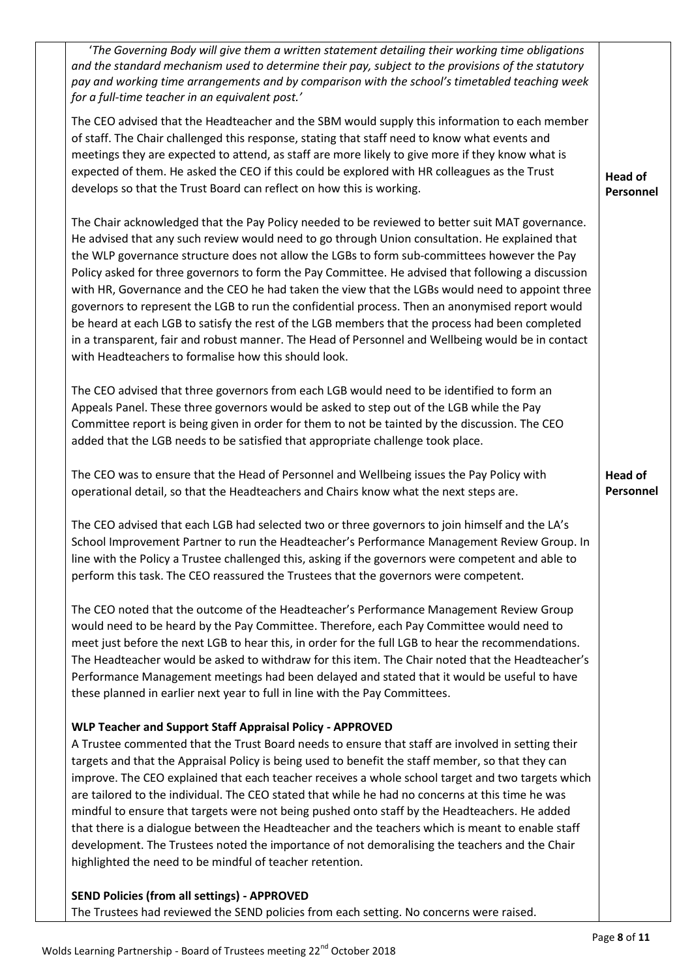'*The Governing Body will give them a written statement detailing their working time obligations and the standard mechanism used to determine their pay, subject to the provisions of the statutory pay and working time arrangements and by comparison with the school's timetabled teaching week for a full-time teacher in an equivalent post.'*

The CEO advised that the Headteacher and the SBM would supply this information to each member of staff. The Chair challenged this response, stating that staff need to know what events and meetings they are expected to attend, as staff are more likely to give more if they know what is expected of them. He asked the CEO if this could be explored with HR colleagues as the Trust develops so that the Trust Board can reflect on how this is working.

The Chair acknowledged that the Pay Policy needed to be reviewed to better suit MAT governance. He advised that any such review would need to go through Union consultation. He explained that the WLP governance structure does not allow the LGBs to form sub-committees however the Pay Policy asked for three governors to form the Pay Committee. He advised that following a discussion with HR, Governance and the CEO he had taken the view that the LGBs would need to appoint three governors to represent the LGB to run the confidential process. Then an anonymised report would be heard at each LGB to satisfy the rest of the LGB members that the process had been completed in a transparent, fair and robust manner. The Head of Personnel and Wellbeing would be in contact with Headteachers to formalise how this should look.

The CEO advised that three governors from each LGB would need to be identified to form an Appeals Panel. These three governors would be asked to step out of the LGB while the Pay Committee report is being given in order for them to not be tainted by the discussion. The CEO added that the LGB needs to be satisfied that appropriate challenge took place.

The CEO was to ensure that the Head of Personnel and Wellbeing issues the Pay Policy with operational detail, so that the Headteachers and Chairs know what the next steps are.

The CEO advised that each LGB had selected two or three governors to join himself and the LA's School Improvement Partner to run the Headteacher's Performance Management Review Group. In line with the Policy a Trustee challenged this, asking if the governors were competent and able to perform this task. The CEO reassured the Trustees that the governors were competent.

The CEO noted that the outcome of the Headteacher's Performance Management Review Group would need to be heard by the Pay Committee. Therefore, each Pay Committee would need to meet just before the next LGB to hear this, in order for the full LGB to hear the recommendations. The Headteacher would be asked to withdraw for this item. The Chair noted that the Headteacher's Performance Management meetings had been delayed and stated that it would be useful to have these planned in earlier next year to full in line with the Pay Committees.

## **WLP Teacher and Support Staff Appraisal Policy - APPROVED**

A Trustee commented that the Trust Board needs to ensure that staff are involved in setting their targets and that the Appraisal Policy is being used to benefit the staff member, so that they can improve. The CEO explained that each teacher receives a whole school target and two targets which are tailored to the individual. The CEO stated that while he had no concerns at this time he was mindful to ensure that targets were not being pushed onto staff by the Headteachers. He added that there is a dialogue between the Headteacher and the teachers which is meant to enable staff development. The Trustees noted the importance of not demoralising the teachers and the Chair highlighted the need to be mindful of teacher retention.

# **SEND Policies (from all settings) - APPROVED** The Trustees had reviewed the SEND policies from each setting. No concerns were raised.

**Head of Personnel** 

**Head of Personnel**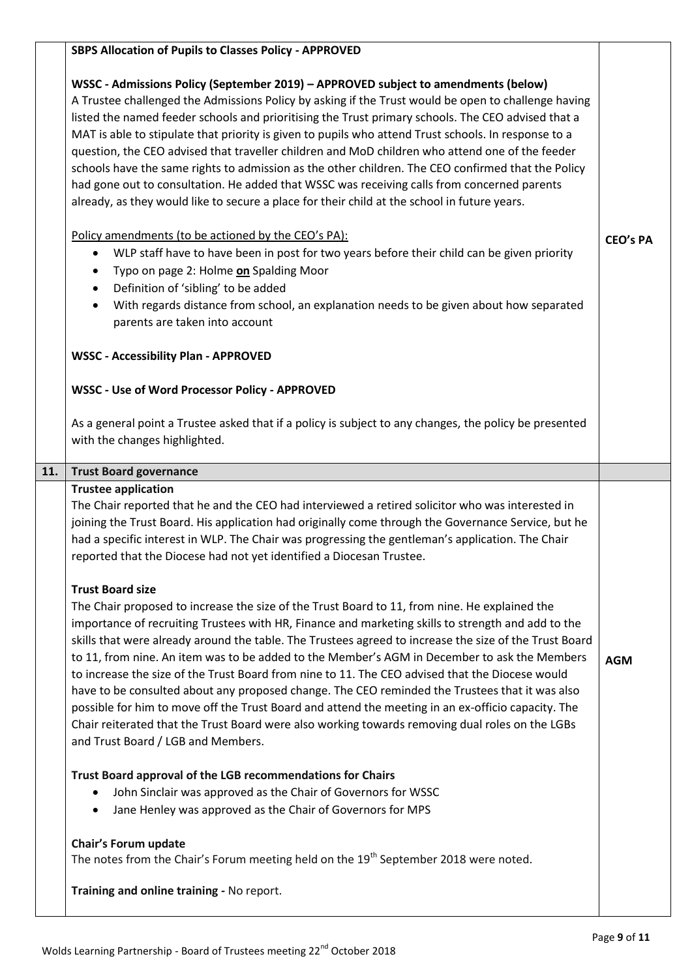|     | <b>SBPS Allocation of Pupils to Classes Policy - APPROVED</b>                                                                                                                                                                                                                                                                                                                                                                                                                                                                                                                                                                                                                                                                                                                                                                                                                                                                                                                                                                                                                                                                                                                                                                                                                                                                                                                                                                                                                                                                                                                                                                                                        |                 |
|-----|----------------------------------------------------------------------------------------------------------------------------------------------------------------------------------------------------------------------------------------------------------------------------------------------------------------------------------------------------------------------------------------------------------------------------------------------------------------------------------------------------------------------------------------------------------------------------------------------------------------------------------------------------------------------------------------------------------------------------------------------------------------------------------------------------------------------------------------------------------------------------------------------------------------------------------------------------------------------------------------------------------------------------------------------------------------------------------------------------------------------------------------------------------------------------------------------------------------------------------------------------------------------------------------------------------------------------------------------------------------------------------------------------------------------------------------------------------------------------------------------------------------------------------------------------------------------------------------------------------------------------------------------------------------------|-----------------|
|     | WSSC - Admissions Policy (September 2019) - APPROVED subject to amendments (below)<br>A Trustee challenged the Admissions Policy by asking if the Trust would be open to challenge having<br>listed the named feeder schools and prioritising the Trust primary schools. The CEO advised that a<br>MAT is able to stipulate that priority is given to pupils who attend Trust schools. In response to a<br>question, the CEO advised that traveller children and MoD children who attend one of the feeder<br>schools have the same rights to admission as the other children. The CEO confirmed that the Policy<br>had gone out to consultation. He added that WSSC was receiving calls from concerned parents<br>already, as they would like to secure a place for their child at the school in future years.<br>Policy amendments (to be actioned by the CEO's PA):<br>WLP staff have to have been in post for two years before their child can be given priority<br>٠<br>Typo on page 2: Holme on Spalding Moor<br>$\bullet$<br>Definition of 'sibling' to be added<br>$\bullet$<br>With regards distance from school, an explanation needs to be given about how separated<br>$\bullet$<br>parents are taken into account                                                                                                                                                                                                                                                                                                                                                                                                                                       | <b>CEO's PA</b> |
|     | <b>WSSC - Accessibility Plan - APPROVED</b><br><b>WSSC - Use of Word Processor Policy - APPROVED</b>                                                                                                                                                                                                                                                                                                                                                                                                                                                                                                                                                                                                                                                                                                                                                                                                                                                                                                                                                                                                                                                                                                                                                                                                                                                                                                                                                                                                                                                                                                                                                                 |                 |
|     | As a general point a Trustee asked that if a policy is subject to any changes, the policy be presented<br>with the changes highlighted.                                                                                                                                                                                                                                                                                                                                                                                                                                                                                                                                                                                                                                                                                                                                                                                                                                                                                                                                                                                                                                                                                                                                                                                                                                                                                                                                                                                                                                                                                                                              |                 |
| 11. | <b>Trust Board governance</b>                                                                                                                                                                                                                                                                                                                                                                                                                                                                                                                                                                                                                                                                                                                                                                                                                                                                                                                                                                                                                                                                                                                                                                                                                                                                                                                                                                                                                                                                                                                                                                                                                                        |                 |
|     | <b>Trustee application</b><br>The Chair reported that he and the CEO had interviewed a retired solicitor who was interested in<br>joining the Trust Board. His application had originally come through the Governance Service, but he<br>had a specific interest in WLP. The Chair was progressing the gentleman's application. The Chair<br>reported that the Diocese had not yet identified a Diocesan Trustee.<br><b>Trust Board size</b><br>The Chair proposed to increase the size of the Trust Board to 11, from nine. He explained the<br>importance of recruiting Trustees with HR, Finance and marketing skills to strength and add to the<br>skills that were already around the table. The Trustees agreed to increase the size of the Trust Board<br>to 11, from nine. An item was to be added to the Member's AGM in December to ask the Members<br>to increase the size of the Trust Board from nine to 11. The CEO advised that the Diocese would<br>have to be consulted about any proposed change. The CEO reminded the Trustees that it was also<br>possible for him to move off the Trust Board and attend the meeting in an ex-officio capacity. The<br>Chair reiterated that the Trust Board were also working towards removing dual roles on the LGBs<br>and Trust Board / LGB and Members.<br>Trust Board approval of the LGB recommendations for Chairs<br>John Sinclair was approved as the Chair of Governors for WSSC<br>$\bullet$<br>Jane Henley was approved as the Chair of Governors for MPS<br>$\bullet$<br>Chair's Forum update<br>The notes from the Chair's Forum meeting held on the 19 <sup>th</sup> September 2018 were noted. | <b>AGM</b>      |
|     | Training and online training - No report.                                                                                                                                                                                                                                                                                                                                                                                                                                                                                                                                                                                                                                                                                                                                                                                                                                                                                                                                                                                                                                                                                                                                                                                                                                                                                                                                                                                                                                                                                                                                                                                                                            |                 |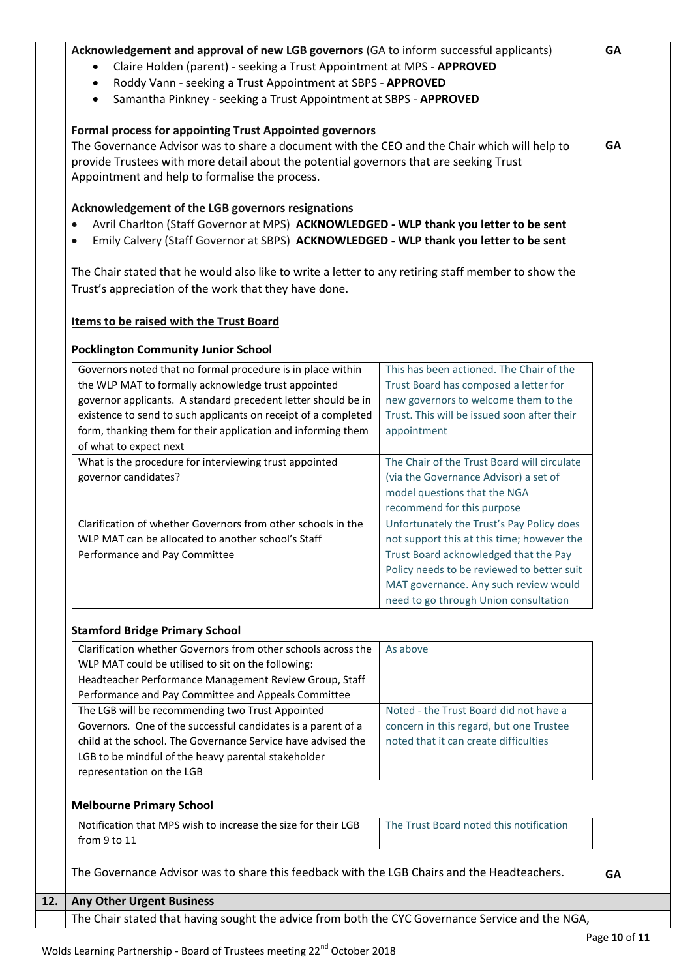|                                                                                             | GA                                                                                                                                                                                                                                                                                                                                                                                                                                                                                                                                                                                                                                                                                                                                                                                                                                                                                                                                                                                                                                                                                                                                                                                                                                                                                                                                                                                                                                                                                                |
|---------------------------------------------------------------------------------------------|---------------------------------------------------------------------------------------------------------------------------------------------------------------------------------------------------------------------------------------------------------------------------------------------------------------------------------------------------------------------------------------------------------------------------------------------------------------------------------------------------------------------------------------------------------------------------------------------------------------------------------------------------------------------------------------------------------------------------------------------------------------------------------------------------------------------------------------------------------------------------------------------------------------------------------------------------------------------------------------------------------------------------------------------------------------------------------------------------------------------------------------------------------------------------------------------------------------------------------------------------------------------------------------------------------------------------------------------------------------------------------------------------------------------------------------------------------------------------------------------------|
|                                                                                             |                                                                                                                                                                                                                                                                                                                                                                                                                                                                                                                                                                                                                                                                                                                                                                                                                                                                                                                                                                                                                                                                                                                                                                                                                                                                                                                                                                                                                                                                                                   |
|                                                                                             |                                                                                                                                                                                                                                                                                                                                                                                                                                                                                                                                                                                                                                                                                                                                                                                                                                                                                                                                                                                                                                                                                                                                                                                                                                                                                                                                                                                                                                                                                                   |
|                                                                                             |                                                                                                                                                                                                                                                                                                                                                                                                                                                                                                                                                                                                                                                                                                                                                                                                                                                                                                                                                                                                                                                                                                                                                                                                                                                                                                                                                                                                                                                                                                   |
|                                                                                             | GA                                                                                                                                                                                                                                                                                                                                                                                                                                                                                                                                                                                                                                                                                                                                                                                                                                                                                                                                                                                                                                                                                                                                                                                                                                                                                                                                                                                                                                                                                                |
|                                                                                             |                                                                                                                                                                                                                                                                                                                                                                                                                                                                                                                                                                                                                                                                                                                                                                                                                                                                                                                                                                                                                                                                                                                                                                                                                                                                                                                                                                                                                                                                                                   |
|                                                                                             |                                                                                                                                                                                                                                                                                                                                                                                                                                                                                                                                                                                                                                                                                                                                                                                                                                                                                                                                                                                                                                                                                                                                                                                                                                                                                                                                                                                                                                                                                                   |
|                                                                                             |                                                                                                                                                                                                                                                                                                                                                                                                                                                                                                                                                                                                                                                                                                                                                                                                                                                                                                                                                                                                                                                                                                                                                                                                                                                                                                                                                                                                                                                                                                   |
|                                                                                             |                                                                                                                                                                                                                                                                                                                                                                                                                                                                                                                                                                                                                                                                                                                                                                                                                                                                                                                                                                                                                                                                                                                                                                                                                                                                                                                                                                                                                                                                                                   |
|                                                                                             |                                                                                                                                                                                                                                                                                                                                                                                                                                                                                                                                                                                                                                                                                                                                                                                                                                                                                                                                                                                                                                                                                                                                                                                                                                                                                                                                                                                                                                                                                                   |
|                                                                                             |                                                                                                                                                                                                                                                                                                                                                                                                                                                                                                                                                                                                                                                                                                                                                                                                                                                                                                                                                                                                                                                                                                                                                                                                                                                                                                                                                                                                                                                                                                   |
|                                                                                             |                                                                                                                                                                                                                                                                                                                                                                                                                                                                                                                                                                                                                                                                                                                                                                                                                                                                                                                                                                                                                                                                                                                                                                                                                                                                                                                                                                                                                                                                                                   |
|                                                                                             |                                                                                                                                                                                                                                                                                                                                                                                                                                                                                                                                                                                                                                                                                                                                                                                                                                                                                                                                                                                                                                                                                                                                                                                                                                                                                                                                                                                                                                                                                                   |
|                                                                                             |                                                                                                                                                                                                                                                                                                                                                                                                                                                                                                                                                                                                                                                                                                                                                                                                                                                                                                                                                                                                                                                                                                                                                                                                                                                                                                                                                                                                                                                                                                   |
|                                                                                             |                                                                                                                                                                                                                                                                                                                                                                                                                                                                                                                                                                                                                                                                                                                                                                                                                                                                                                                                                                                                                                                                                                                                                                                                                                                                                                                                                                                                                                                                                                   |
|                                                                                             |                                                                                                                                                                                                                                                                                                                                                                                                                                                                                                                                                                                                                                                                                                                                                                                                                                                                                                                                                                                                                                                                                                                                                                                                                                                                                                                                                                                                                                                                                                   |
| The Chair of the Trust Board will circulate                                                 |                                                                                                                                                                                                                                                                                                                                                                                                                                                                                                                                                                                                                                                                                                                                                                                                                                                                                                                                                                                                                                                                                                                                                                                                                                                                                                                                                                                                                                                                                                   |
| (via the Governance Advisor) a set of                                                       |                                                                                                                                                                                                                                                                                                                                                                                                                                                                                                                                                                                                                                                                                                                                                                                                                                                                                                                                                                                                                                                                                                                                                                                                                                                                                                                                                                                                                                                                                                   |
| model questions that the NGA                                                                |                                                                                                                                                                                                                                                                                                                                                                                                                                                                                                                                                                                                                                                                                                                                                                                                                                                                                                                                                                                                                                                                                                                                                                                                                                                                                                                                                                                                                                                                                                   |
| recommend for this purpose                                                                  |                                                                                                                                                                                                                                                                                                                                                                                                                                                                                                                                                                                                                                                                                                                                                                                                                                                                                                                                                                                                                                                                                                                                                                                                                                                                                                                                                                                                                                                                                                   |
|                                                                                             |                                                                                                                                                                                                                                                                                                                                                                                                                                                                                                                                                                                                                                                                                                                                                                                                                                                                                                                                                                                                                                                                                                                                                                                                                                                                                                                                                                                                                                                                                                   |
|                                                                                             |                                                                                                                                                                                                                                                                                                                                                                                                                                                                                                                                                                                                                                                                                                                                                                                                                                                                                                                                                                                                                                                                                                                                                                                                                                                                                                                                                                                                                                                                                                   |
|                                                                                             |                                                                                                                                                                                                                                                                                                                                                                                                                                                                                                                                                                                                                                                                                                                                                                                                                                                                                                                                                                                                                                                                                                                                                                                                                                                                                                                                                                                                                                                                                                   |
|                                                                                             |                                                                                                                                                                                                                                                                                                                                                                                                                                                                                                                                                                                                                                                                                                                                                                                                                                                                                                                                                                                                                                                                                                                                                                                                                                                                                                                                                                                                                                                                                                   |
|                                                                                             |                                                                                                                                                                                                                                                                                                                                                                                                                                                                                                                                                                                                                                                                                                                                                                                                                                                                                                                                                                                                                                                                                                                                                                                                                                                                                                                                                                                                                                                                                                   |
|                                                                                             |                                                                                                                                                                                                                                                                                                                                                                                                                                                                                                                                                                                                                                                                                                                                                                                                                                                                                                                                                                                                                                                                                                                                                                                                                                                                                                                                                                                                                                                                                                   |
|                                                                                             |                                                                                                                                                                                                                                                                                                                                                                                                                                                                                                                                                                                                                                                                                                                                                                                                                                                                                                                                                                                                                                                                                                                                                                                                                                                                                                                                                                                                                                                                                                   |
| As above                                                                                    |                                                                                                                                                                                                                                                                                                                                                                                                                                                                                                                                                                                                                                                                                                                                                                                                                                                                                                                                                                                                                                                                                                                                                                                                                                                                                                                                                                                                                                                                                                   |
|                                                                                             |                                                                                                                                                                                                                                                                                                                                                                                                                                                                                                                                                                                                                                                                                                                                                                                                                                                                                                                                                                                                                                                                                                                                                                                                                                                                                                                                                                                                                                                                                                   |
|                                                                                             |                                                                                                                                                                                                                                                                                                                                                                                                                                                                                                                                                                                                                                                                                                                                                                                                                                                                                                                                                                                                                                                                                                                                                                                                                                                                                                                                                                                                                                                                                                   |
|                                                                                             |                                                                                                                                                                                                                                                                                                                                                                                                                                                                                                                                                                                                                                                                                                                                                                                                                                                                                                                                                                                                                                                                                                                                                                                                                                                                                                                                                                                                                                                                                                   |
|                                                                                             |                                                                                                                                                                                                                                                                                                                                                                                                                                                                                                                                                                                                                                                                                                                                                                                                                                                                                                                                                                                                                                                                                                                                                                                                                                                                                                                                                                                                                                                                                                   |
|                                                                                             |                                                                                                                                                                                                                                                                                                                                                                                                                                                                                                                                                                                                                                                                                                                                                                                                                                                                                                                                                                                                                                                                                                                                                                                                                                                                                                                                                                                                                                                                                                   |
|                                                                                             |                                                                                                                                                                                                                                                                                                                                                                                                                                                                                                                                                                                                                                                                                                                                                                                                                                                                                                                                                                                                                                                                                                                                                                                                                                                                                                                                                                                                                                                                                                   |
|                                                                                             |                                                                                                                                                                                                                                                                                                                                                                                                                                                                                                                                                                                                                                                                                                                                                                                                                                                                                                                                                                                                                                                                                                                                                                                                                                                                                                                                                                                                                                                                                                   |
|                                                                                             |                                                                                                                                                                                                                                                                                                                                                                                                                                                                                                                                                                                                                                                                                                                                                                                                                                                                                                                                                                                                                                                                                                                                                                                                                                                                                                                                                                                                                                                                                                   |
|                                                                                             |                                                                                                                                                                                                                                                                                                                                                                                                                                                                                                                                                                                                                                                                                                                                                                                                                                                                                                                                                                                                                                                                                                                                                                                                                                                                                                                                                                                                                                                                                                   |
|                                                                                             |                                                                                                                                                                                                                                                                                                                                                                                                                                                                                                                                                                                                                                                                                                                                                                                                                                                                                                                                                                                                                                                                                                                                                                                                                                                                                                                                                                                                                                                                                                   |
|                                                                                             |                                                                                                                                                                                                                                                                                                                                                                                                                                                                                                                                                                                                                                                                                                                                                                                                                                                                                                                                                                                                                                                                                                                                                                                                                                                                                                                                                                                                                                                                                                   |
| The Governance Advisor was to share this feedback with the LGB Chairs and the Headteachers. | <b>GA</b>                                                                                                                                                                                                                                                                                                                                                                                                                                                                                                                                                                                                                                                                                                                                                                                                                                                                                                                                                                                                                                                                                                                                                                                                                                                                                                                                                                                                                                                                                         |
|                                                                                             |                                                                                                                                                                                                                                                                                                                                                                                                                                                                                                                                                                                                                                                                                                                                                                                                                                                                                                                                                                                                                                                                                                                                                                                                                                                                                                                                                                                                                                                                                                   |
|                                                                                             | Acknowledgement and approval of new LGB governors (GA to inform successful applicants)<br>Claire Holden (parent) - seeking a Trust Appointment at MPS - APPROVED<br>Roddy Vann - seeking a Trust Appointment at SBPS - APPROVED<br>Samantha Pinkney - seeking a Trust Appointment at SBPS - APPROVED<br><b>Formal process for appointing Trust Appointed governors</b><br>The Governance Advisor was to share a document with the CEO and the Chair which will help to<br>provide Trustees with more detail about the potential governors that are seeking Trust<br>Avril Charlton (Staff Governor at MPS) ACKNOWLEDGED - WLP thank you letter to be sent<br>Emily Calvery (Staff Governor at SBPS) ACKNOWLEDGED - WLP thank you letter to be sent<br>The Chair stated that he would also like to write a letter to any retiring staff member to show the<br>This has been actioned. The Chair of the<br>Trust Board has composed a letter for<br>new governors to welcome them to the<br>Trust. This will be issued soon after their<br>appointment<br>Unfortunately the Trust's Pay Policy does<br>not support this at this time; however the<br>Trust Board acknowledged that the Pay<br>Policy needs to be reviewed to better suit<br>MAT governance. Any such review would<br>need to go through Union consultation<br>Noted - the Trust Board did not have a<br>concern in this regard, but one Trustee<br>noted that it can create difficulties<br>The Trust Board noted this notification |